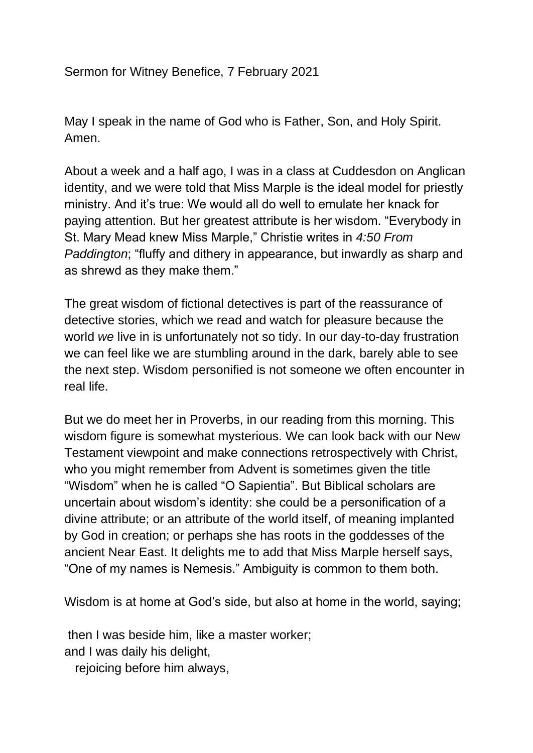Sermon for Witney Benefice, 7 February 2021

May I speak in the name of God who is Father, Son, and Holy Spirit. Amen.

About a week and a half ago, I was in a class at Cuddesdon on Anglican identity, and we were told that Miss Marple is the ideal model for priestly ministry. And it's true: We would all do well to emulate her knack for paying attention. But her greatest attribute is her wisdom. "Everybody in St. Mary Mead knew Miss Marple," Christie writes in *4:50 From Paddington*; "fluffy and dithery in appearance, but inwardly as sharp and as shrewd as they make them."

The great wisdom of fictional detectives is part of the reassurance of detective stories, which we read and watch for pleasure because the world *we* live in is unfortunately not so tidy. In our day-to-day frustration we can feel like we are stumbling around in the dark, barely able to see the next step. Wisdom personified is not someone we often encounter in real life.

But we do meet her in Proverbs, in our reading from this morning. This wisdom figure is somewhat mysterious. We can look back with our New Testament viewpoint and make connections retrospectively with Christ, who you might remember from Advent is sometimes given the title "Wisdom" when he is called "O Sapientia". But Biblical scholars are uncertain about wisdom's identity: she could be a personification of a divine attribute; or an attribute of the world itself, of meaning implanted by God in creation; or perhaps she has roots in the goddesses of the ancient Near East. It delights me to add that Miss Marple herself says, "One of my names is Nemesis." Ambiguity is common to them both.

Wisdom is at home at God's side, but also at home in the world, saying;

then I was beside him, like a master worker; and I was daily his delight,

rejoicing before him always,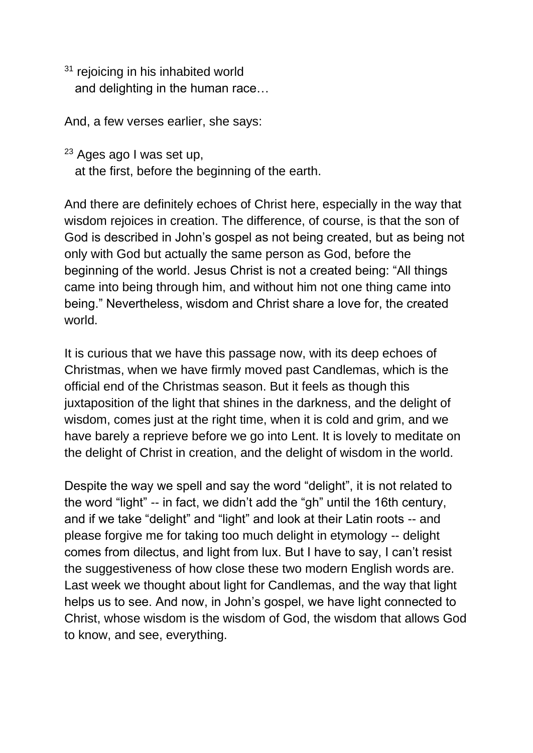<sup>31</sup> rejoicing in his inhabited world and delighting in the human race…

And, a few verses earlier, she says:

<sup>23</sup> Ages ago I was set up, at the first, before the beginning of the earth.

And there are definitely echoes of Christ here, especially in the way that wisdom rejoices in creation. The difference, of course, is that the son of God is described in John's gospel as not being created, but as being not only with God but actually the same person as God, before the beginning of the world. Jesus Christ is not a created being: "All things came into being through him, and without him not one thing came into being." Nevertheless, wisdom and Christ share a love for, the created world.

It is curious that we have this passage now, with its deep echoes of Christmas, when we have firmly moved past Candlemas, which is the official end of the Christmas season. But it feels as though this juxtaposition of the light that shines in the darkness, and the delight of wisdom, comes just at the right time, when it is cold and grim, and we have barely a reprieve before we go into Lent. It is lovely to meditate on the delight of Christ in creation, and the delight of wisdom in the world.

Despite the way we spell and say the word "delight", it is not related to the word "light" -- in fact, we didn't add the "gh" until the 16th century, and if we take "delight" and "light" and look at their Latin roots -- and please forgive me for taking too much delight in etymology -- delight comes from dilectus, and light from lux. But I have to say, I can't resist the suggestiveness of how close these two modern English words are. Last week we thought about light for Candlemas, and the way that light helps us to see. And now, in John's gospel, we have light connected to Christ, whose wisdom is the wisdom of God, the wisdom that allows God to know, and see, everything.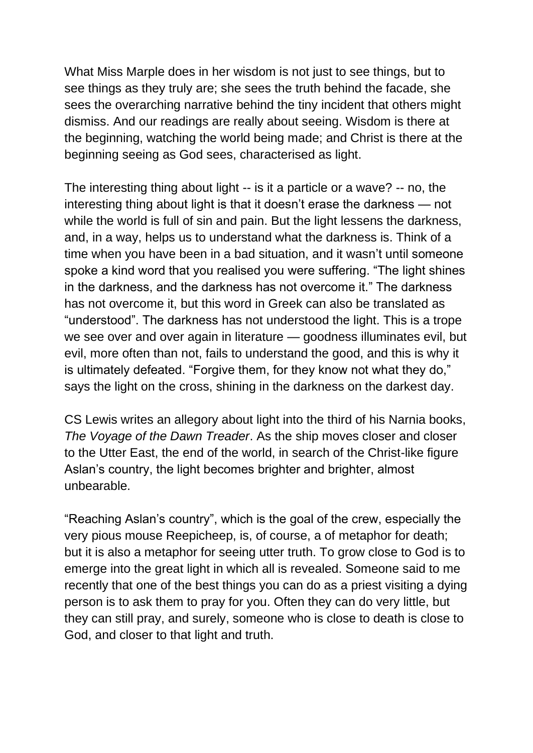What Miss Marple does in her wisdom is not just to see things, but to see things as they truly are; she sees the truth behind the facade, she sees the overarching narrative behind the tiny incident that others might dismiss. And our readings are really about seeing. Wisdom is there at the beginning, watching the world being made; and Christ is there at the beginning seeing as God sees, characterised as light.

The interesting thing about light -- is it a particle or a wave? -- no, the interesting thing about light is that it doesn't erase the darkness — not while the world is full of sin and pain. But the light lessens the darkness, and, in a way, helps us to understand what the darkness is. Think of a time when you have been in a bad situation, and it wasn't until someone spoke a kind word that you realised you were suffering. "The light shines in the darkness, and the darkness has not overcome it." The darkness has not overcome it, but this word in Greek can also be translated as "understood". The darkness has not understood the light. This is a trope we see over and over again in literature — goodness illuminates evil, but evil, more often than not, fails to understand the good, and this is why it is ultimately defeated. "Forgive them, for they know not what they do," says the light on the cross, shining in the darkness on the darkest day.

CS Lewis writes an allegory about light into the third of his Narnia books, *The Voyage of the Dawn Treader*. As the ship moves closer and closer to the Utter East, the end of the world, in search of the Christ-like figure Aslan's country, the light becomes brighter and brighter, almost unbearable.

"Reaching Aslan's country", which is the goal of the crew, especially the very pious mouse Reepicheep, is, of course, a of metaphor for death; but it is also a metaphor for seeing utter truth. To grow close to God is to emerge into the great light in which all is revealed. Someone said to me recently that one of the best things you can do as a priest visiting a dying person is to ask them to pray for you. Often they can do very little, but they can still pray, and surely, someone who is close to death is close to God, and closer to that light and truth.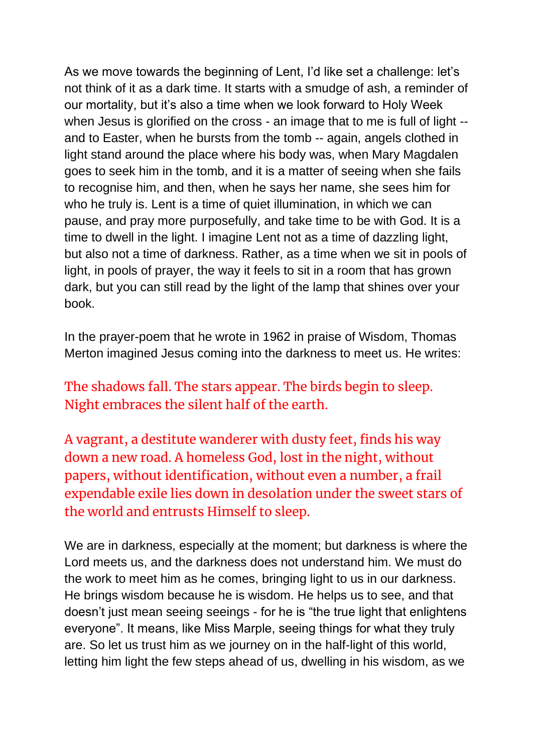As we move towards the beginning of Lent, I'd like set a challenge: let's not think of it as a dark time. It starts with a smudge of ash, a reminder of our mortality, but it's also a time when we look forward to Holy Week when Jesus is glorified on the cross - an image that to me is full of light -and to Easter, when he bursts from the tomb -- again, angels clothed in light stand around the place where his body was, when Mary Magdalen goes to seek him in the tomb, and it is a matter of seeing when she fails to recognise him, and then, when he says her name, she sees him for who he truly is. Lent is a time of quiet illumination, in which we can pause, and pray more purposefully, and take time to be with God. It is a time to dwell in the light. I imagine Lent not as a time of dazzling light, but also not a time of darkness. Rather, as a time when we sit in pools of light, in pools of prayer, the way it feels to sit in a room that has grown dark, but you can still read by the light of the lamp that shines over your book.

In the prayer-poem that he wrote in 1962 in praise of Wisdom, Thomas Merton imagined Jesus coming into the darkness to meet us. He writes:

The shadows fall. The stars appear. The birds begin to sleep. Night embraces the silent half of the earth.

A vagrant, a destitute wanderer with dusty feet, finds his way down a new road. A homeless God, lost in the night, without papers, without identification, without even a number, a frail expendable exile lies down in desolation under the sweet stars of the world and entrusts Himself to sleep.

We are in darkness, especially at the moment; but darkness is where the Lord meets us, and the darkness does not understand him. We must do the work to meet him as he comes, bringing light to us in our darkness. He brings wisdom because he is wisdom. He helps us to see, and that doesn't just mean seeing seeings - for he is "the true light that enlightens everyone". It means, like Miss Marple, seeing things for what they truly are. So let us trust him as we journey on in the half-light of this world, letting him light the few steps ahead of us, dwelling in his wisdom, as we